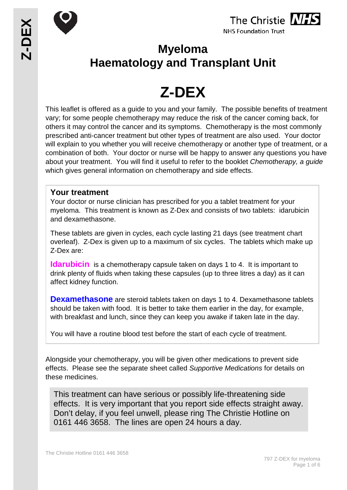



**Myeloma Haematology and Transplant Unit**

# **Z-DEX**

This leaflet is offered as a guide to you and your family. The possible benefits of treatment vary; for some people chemotherapy may reduce the risk of the cancer coming back, for others it may control the cancer and its symptoms. Chemotherapy is the most commonly prescribed anti-cancer treatment but other types of treatment are also used. Your doctor will explain to you whether you will receive chemotherapy or another type of treatment, or a combination of both. Your doctor or nurse will be happy to answer any questions you have about your treatment. You will find it useful to refer to the booklet *Chemotherapy, a guide* which gives general information on chemotherapy and side effects.

## **Your treatment**

Your doctor or nurse clinician has prescribed for you a tablet treatment for your myeloma. This treatment is known as Z-Dex and consists of two tablets: idarubicin and dexamethasone.

These tablets are given in cycles, each cycle lasting 21 days (see treatment chart overleaf). Z-Dex is given up to a maximum of six cycles. The tablets which make up Z-Dex are:

**Idarubicin** is a chemotherapy capsule taken on days 1 to 4. It is important to drink plenty of fluids when taking these capsules (up to three litres a day) as it can affect kidney function.

**Dexamethasone** are steroid tablets taken on days 1 to 4. Dexamethasone tablets should be taken with food. It is better to take them earlier in the day, for example, with breakfast and lunch, since they can keep you awake if taken late in the day.

You will have a routine blood test before the start of each cycle of treatment.

Alongside your chemotherapy, you will be given other medications to prevent side effects. Please see the separate sheet called *Supportive Medications* for details on these medicines.

This treatment can have serious or possibly life-threatening side effects. It is very important that you report side effects straight away. Don't delay, if you feel unwell, please ring The Christie Hotline on 0161 446 3658. The lines are open 24 hours a day.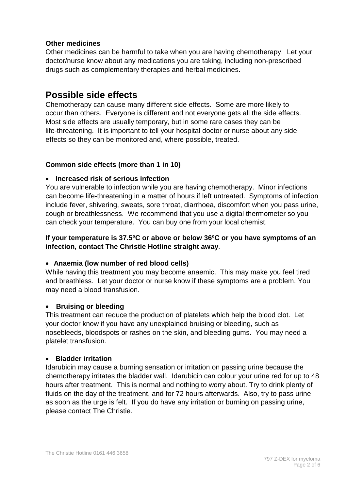#### **Other medicines**

Other medicines can be harmful to take when you are having chemotherapy. Let your doctor/nurse know about any medications you are taking, including non-prescribed drugs such as complementary therapies and herbal medicines.

# **Possible side effects**

Chemotherapy can cause many different side effects. Some are more likely to occur than others. Everyone is different and not everyone gets all the side effects. Most side effects are usually temporary, but in some rare cases they can be life-threatening. It is important to tell your hospital doctor or nurse about any side effects so they can be monitored and, where possible, treated.

#### **Common side effects (more than 1 in 10)**

#### • **Increased risk of serious infection**

You are vulnerable to infection while you are having chemotherapy. Minor infections can become life-threatening in a matter of hours if left untreated. Symptoms of infection include fever, shivering, sweats, sore throat, diarrhoea, discomfort when you pass urine, cough or breathlessness. We recommend that you use a digital thermometer so you can check your temperature. You can buy one from your local chemist.

#### **If your temperature is 37.5ºC or above or below 36ºC or you have symptoms of an infection, contact The Christie Hotline straight away**.

#### • **Anaemia (low number of red blood cells)**

While having this treatment you may become anaemic. This may make you feel tired and breathless. Let your doctor or nurse know if these symptoms are a problem. You may need a blood transfusion.

#### • **Bruising or bleeding**

This treatment can reduce the production of platelets which help the blood clot. Let your doctor know if you have any unexplained bruising or bleeding, such as nosebleeds, bloodspots or rashes on the skin, and bleeding gums. You may need a platelet transfusion.

#### • **Bladder irritation**

Idarubicin may cause a burning sensation or irritation on passing urine because the chemotherapy irritates the bladder wall. Idarubicin can colour your urine red for up to 48 hours after treatment. This is normal and nothing to worry about. Try to drink plenty of fluids on the day of the treatment, and for 72 hours afterwards. Also, try to pass urine as soon as the urge is felt. If you do have any irritation or burning on passing urine, please contact The Christie.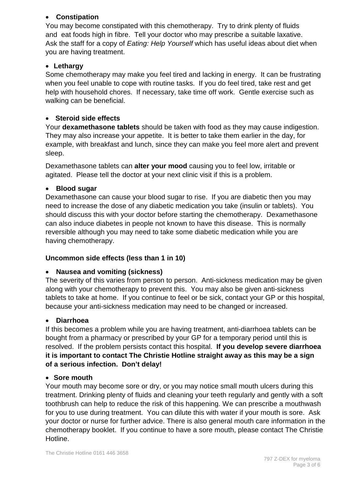#### • **Constipation**

You may become constipated with this chemotherapy. Try to drink plenty of fluids and eat foods high in fibre. Tell your doctor who may prescribe a suitable laxative. Ask the staff for a copy of *Eating: Help Yourself* which has useful ideas about diet when you are having treatment.

## • **Lethargy**

Some chemotherapy may make you feel tired and lacking in energy. It can be frustrating when you feel unable to cope with routine tasks. If you do feel tired, take rest and get help with household chores. If necessary, take time off work. Gentle exercise such as walking can be beneficial.

## • **Steroid side effects**

Your **dexamethasone tablets** should be taken with food as they may cause indigestion. They may also increase your appetite. It is better to take them earlier in the day, for example, with breakfast and lunch, since they can make you feel more alert and prevent sleep.

Dexamethasone tablets can **alter your mood** causing you to feel low, irritable or agitated. Please tell the doctor at your next clinic visit if this is a problem.

## • **Blood sugar**

Dexamethasone can cause your blood sugar to rise. If you are diabetic then you may need to increase the dose of any diabetic medication you take (insulin or tablets). You should discuss this with your doctor before starting the chemotherapy. Dexamethasone can also induce diabetes in people not known to have this disease. This is normally reversible although you may need to take some diabetic medication while you are having chemotherapy.

## **Uncommon side effects (less than 1 in 10)**

## • **Nausea and vomiting (sickness)**

The severity of this varies from person to person. Anti-sickness medication may be given along with your chemotherapy to prevent this. You may also be given anti-sickness tablets to take at home. If you continue to feel or be sick, contact your GP or this hospital, because your anti-sickness medication may need to be changed or increased.

## • **Diarrhoea**

If this becomes a problem while you are having treatment, anti-diarrhoea tablets can be bought from a pharmacy or prescribed by your GP for a temporary period until this is resolved. If the problem persists contact this hospital. **If you develop severe diarrhoea it is important to contact The Christie Hotline straight away as this may be a sign of a serious infection. Don't delay!**

## • **Sore mouth**

Your mouth may become sore or dry, or you may notice small mouth ulcers during this treatment. Drinking plenty of fluids and cleaning your teeth regularly and gently with a soft toothbrush can help to reduce the risk of this happening. We can prescribe a mouthwash for you to use during treatment. You can dilute this with water if your mouth is sore. Ask your doctor or nurse for further advice. There is also general mouth care information in the chemotherapy booklet. If you continue to have a sore mouth, please contact The Christie Hotline.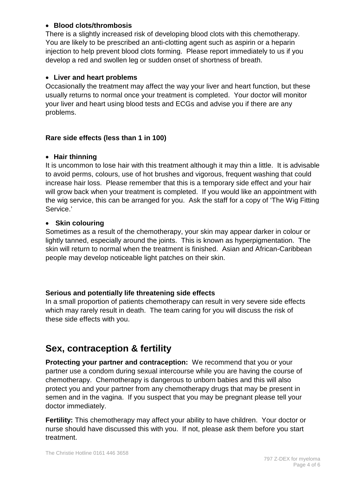#### • **Blood clots/thrombosis**

There is a slightly increased risk of developing blood clots with this chemotherapy. You are likely to be prescribed an anti-clotting agent such as aspirin or a heparin injection to help prevent blood clots forming. Please report immediately to us if you develop a red and swollen leg or sudden onset of shortness of breath.

#### • **Liver and heart problems**

Occasionally the treatment may affect the way your liver and heart function, but these usually returns to normal once your treatment is completed. Your doctor will monitor your liver and heart using blood tests and ECGs and advise you if there are any problems.

#### **Rare side effects (less than 1 in 100)**

#### • **Hair thinning**

It is uncommon to lose hair with this treatment although it may thin a little. It is advisable to avoid perms, colours, use of hot brushes and vigorous, frequent washing that could increase hair loss. Please remember that this is a temporary side effect and your hair will grow back when your treatment is completed. If you would like an appointment with the wig service, this can be arranged for you. Ask the staff for a copy of 'The Wig Fitting Service.'

#### • **Skin colouring**

Sometimes as a result of the chemotherapy, your skin may appear darker in colour or lightly tanned, especially around the joints. This is known as hyperpigmentation. The skin will return to normal when the treatment is finished. Asian and African-Caribbean people may develop noticeable light patches on their skin.

## **Serious and potentially life threatening side effects**

In a small proportion of patients chemotherapy can result in very severe side effects which may rarely result in death. The team caring for you will discuss the risk of these side effects with you.

# **Sex, contraception & fertility**

**Protecting your partner and contraception:** We recommend that you or your partner use a condom during sexual intercourse while you are having the course of chemotherapy. Chemotherapy is dangerous to unborn babies and this will also protect you and your partner from any chemotherapy drugs that may be present in semen and in the vagina. If you suspect that you may be pregnant please tell your doctor immediately.

**Fertility:** This chemotherapy may affect your ability to have children. Your doctor or nurse should have discussed this with you. If not, please ask them before you start treatment.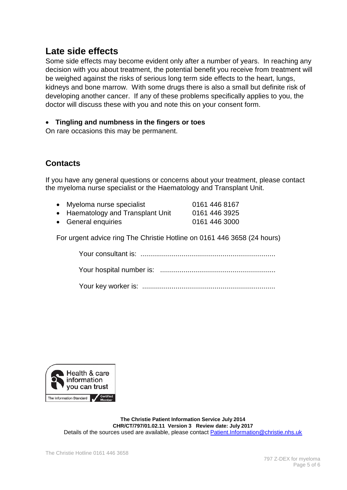# **Late side effects**

Some side effects may become evident only after a number of years. In reaching any decision with you about treatment, the potential benefit you receive from treatment will be weighed against the risks of serious long term side effects to the heart, lungs, kidneys and bone marrow. With some drugs there is also a small but definite risk of developing another cancer. If any of these problems specifically applies to you, the doctor will discuss these with you and note this on your consent form.

## • **Tingling and numbness in the fingers or toes**

On rare occasions this may be permanent.

## **Contacts**

If you have any general questions or concerns about your treatment, please contact the myeloma nurse specialist or the Haematology and Transplant Unit.

- Myeloma nurse specialist 0161 446 8167
- Haematology and Transplant Unit 0161 446 3925
- General enquiries 0161 446 3000

For urgent advice ring The Christie Hotline on 0161 446 3658 (24 hours)

Your consultant is: .....................................................................

Your hospital number is: ...........................................................

Your key worker is: ....................................................................



**The Christie Patient Information Service July 2014 CHR/CT/797/01.02.11 Version 3 Review date: July 2017** Details of the sources used are available, please contact [Patient.Information@christie.nhs.uk](mailto:Patient.Information@christie.nhs.uk)